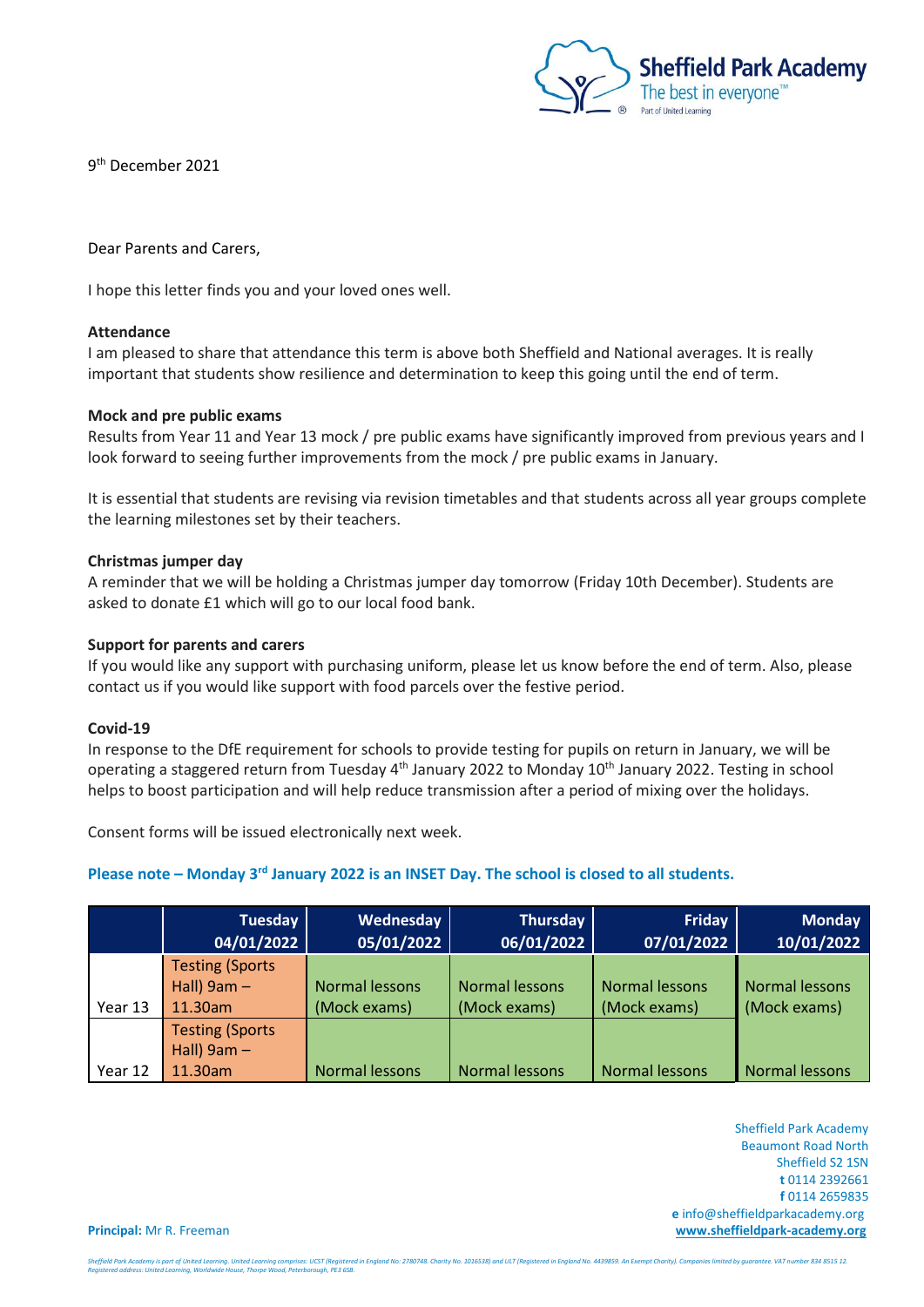

9 th December 2021

Dear Parents and Carers,

I hope this letter finds you and your loved ones well.

### **Attendance**

I am pleased to share that attendance this term is above both Sheffield and National averages. It is really important that students show resilience and determination to keep this going until the end of term.

#### **Mock and pre public exams**

Results from Year 11 and Year 13 mock / pre public exams have significantly improved from previous years and I look forward to seeing further improvements from the mock / pre public exams in January.

It is essential that students are revising via revision timetables and that students across all year groups complete the learning milestones set by their teachers.

## **Christmas jumper day**

A reminder that we will be holding a Christmas jumper day tomorrow (Friday 10th December). Students are asked to donate £1 which will go to our local food bank.

### **Support for parents and carers**

If you would like any support with purchasing uniform, please let us know before the end of term. Also, please contact us if you would like support with food parcels over the festive period.

#### **Covid-19**

In response to the DfE requirement for schools to provide testing for pupils on return in January, we will be operating a staggered return from Tuesday 4<sup>th</sup> January 2022 to Monday 10<sup>th</sup> January 2022. Testing in school helps to boost participation and will help reduce transmission after a period of mixing over the holidays.

Consent forms will be issued electronically next week.

# Please note - Monday 3<sup>rd</sup> January 2022 is an INSET Day. The school is closed to all students.

|         | <b>Tuesday</b><br>04/01/2022 | Wednesday<br>05/01/2022 | Thursday<br>06/01/2022 | Friday<br>07/01/2022 | <b>Monday</b><br>10/01/2022 |
|---------|------------------------------|-------------------------|------------------------|----------------------|-----------------------------|
|         | <b>Testing (Sports)</b>      |                         |                        |                      |                             |
|         | Hall) $9am -$                | <b>Normal lessons</b>   | Normal lessons         | Normal lessons       | <b>Normal lessons</b>       |
| Year 13 | 11.30am                      | (Mock exams)            | (Mock exams)           | (Mock exams)         | (Mock exams)                |
|         | <b>Testing (Sports</b>       |                         |                        |                      |                             |
|         | Hall) $9am -$                |                         |                        |                      |                             |
| Year 12 | 11.30am                      | Normal lessons          | Normal lessons         | Normal lessons       | Normal lessons              |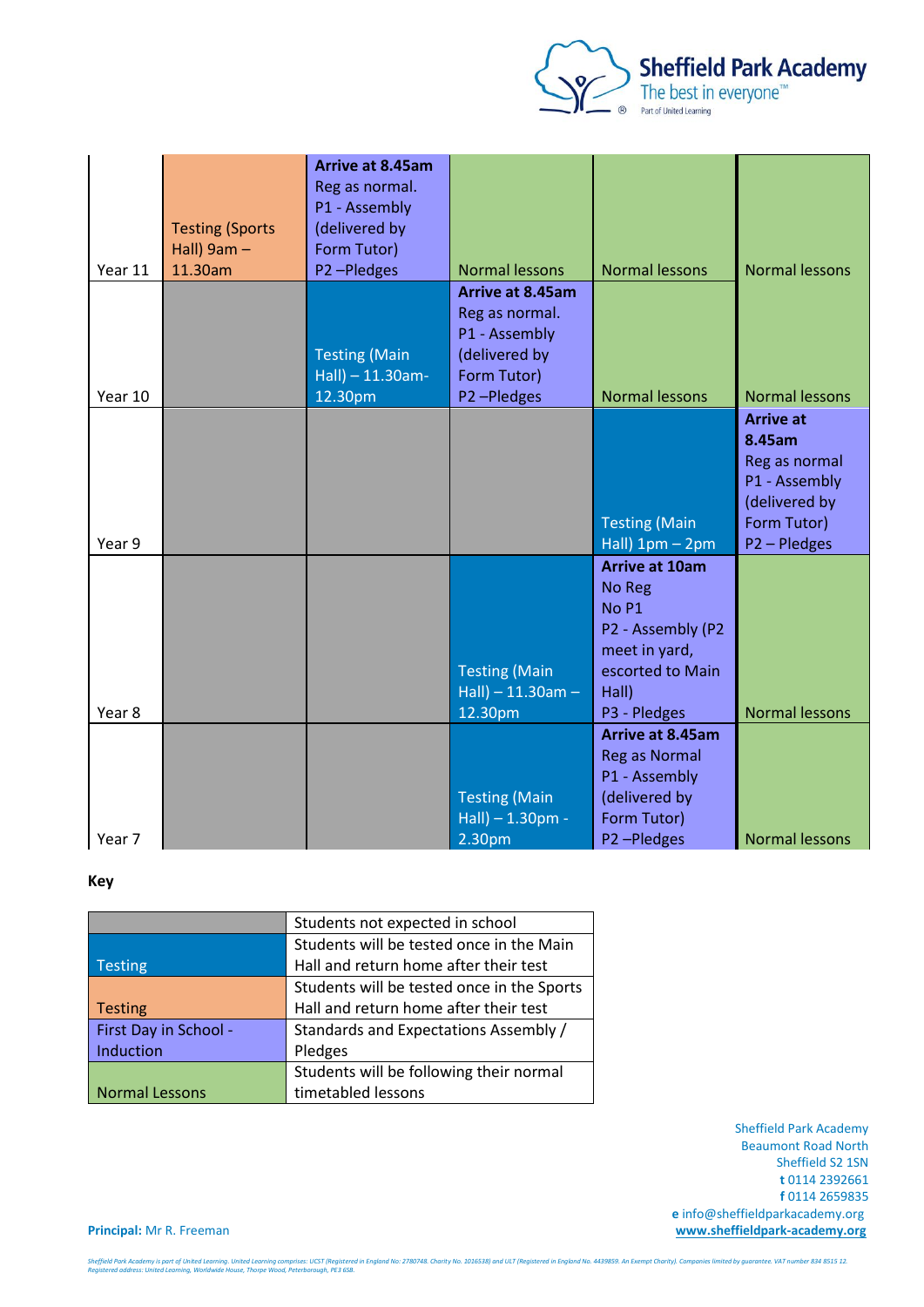

| Year 11 | <b>Testing (Sports</b><br>Hall) $9am -$<br>11.30am | Arrive at 8.45am<br>Reg as normal.<br>P1 - Assembly<br>(delivered by<br>Form Tutor)<br>P2-Pledges | <b>Normal lessons</b>                                                                             | <b>Normal lessons</b>                                                                                                                  | <b>Normal lessons</b>                                                                                      |
|---------|----------------------------------------------------|---------------------------------------------------------------------------------------------------|---------------------------------------------------------------------------------------------------|----------------------------------------------------------------------------------------------------------------------------------------|------------------------------------------------------------------------------------------------------------|
| Year 10 |                                                    | <b>Testing (Main</b><br>$Hall$ ) - 11.30am-<br>12.30pm                                            | Arrive at 8.45am<br>Reg as normal.<br>P1 - Assembly<br>(delivered by<br>Form Tutor)<br>P2-Pledges | <b>Normal lessons</b>                                                                                                                  | <b>Normal lessons</b>                                                                                      |
| Year 9  |                                                    |                                                                                                   |                                                                                                   | <b>Testing (Main</b><br>Hall) $1pm - 2pm$                                                                                              | <b>Arrive at</b><br>8.45am<br>Reg as normal<br>P1 - Assembly<br>(delivered by<br>Form Tutor)<br>P2-Pledges |
| Year 8  |                                                    |                                                                                                   | <b>Testing (Main</b><br>$Hall) - 11.30am -$<br>12.30pm                                            | <b>Arrive at 10am</b><br>No Reg<br>No <sub>P1</sub><br>P2 - Assembly (P2<br>meet in yard,<br>escorted to Main<br>Hall)<br>P3 - Pledges | <b>Normal lessons</b>                                                                                      |
| Year 7  |                                                    |                                                                                                   | <b>Testing (Main</b><br>Hall) - 1.30pm -<br>2.30pm                                                | Arrive at 8.45am<br><b>Reg as Normal</b><br>P1 - Assembly<br>(delivered by<br>Form Tutor)<br>P2-Pledges                                | <b>Normal lessons</b>                                                                                      |

## **Key**

|                       | Students not expected in school            |
|-----------------------|--------------------------------------------|
|                       | Students will be tested once in the Main   |
| <b>Testing</b>        | Hall and return home after their test      |
|                       | Students will be tested once in the Sports |
| <b>Testing</b>        | Hall and return home after their test      |
| First Day in School - | Standards and Expectations Assembly /      |
| Induction             | Pledges                                    |
|                       | Students will be following their normal    |
| <b>Normal Lessons</b> | timetabled lessons                         |

 Sheffield Park Academy Beaumont Road North Sheffield S2 1SN **t** 0114 2392661 **f** 0114 2659835  **e** info@sheffieldparkacademy.org **Principal:** Mr R. Freeman **[www.sheffieldpark-academy.org](http://www.sheffieldpark-academy.org/)**